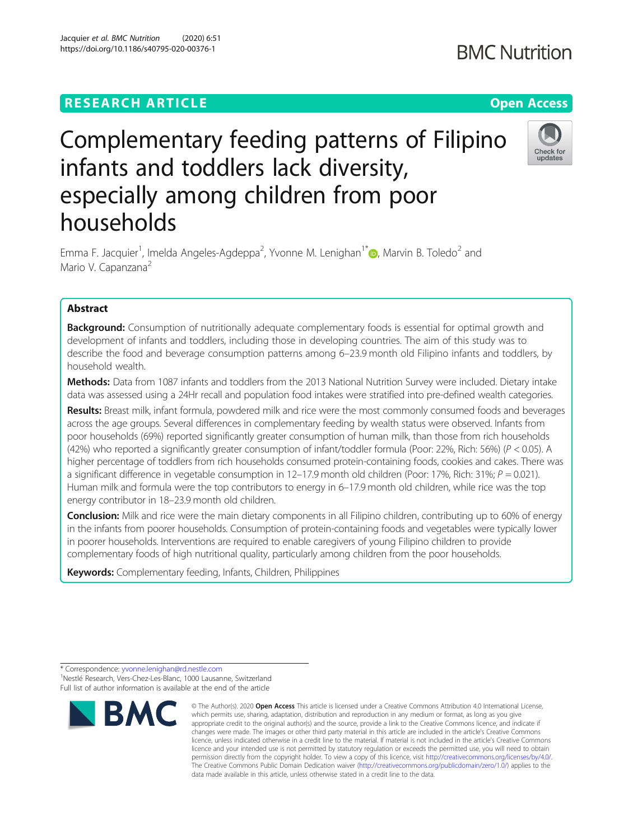## **RESEARCH ARTICLE Example 2014 12:30 The Contract of Contract ACCESS**

# Complementary feeding patterns of Filipino infants and toddlers lack diversity, especially among children from poor households

Emma F. Jacquier<sup>1</sup>[,](http://orcid.org/0000-0001-9179-6072) Imelda Angeles-Agdeppa<sup>2</sup>, Yvonne M. Lenighan<sup>1\*</sup>. Marvin B. Toledo<sup>2</sup> and Mario V. Capanzana<sup>2</sup>

## Abstract

**Background:** Consumption of nutritionally adequate complementary foods is essential for optimal growth and development of infants and toddlers, including those in developing countries. The aim of this study was to describe the food and beverage consumption patterns among 6–23.9 month old Filipino infants and toddlers, by household wealth.

Methods: Data from 1087 infants and toddlers from the 2013 National Nutrition Survey were included. Dietary intake data was assessed using a 24Hr recall and population food intakes were stratified into pre-defined wealth categories.

Results: Breast milk, infant formula, powdered milk and rice were the most commonly consumed foods and beverages across the age groups. Several differences in complementary feeding by wealth status were observed. Infants from poor households (69%) reported significantly greater consumption of human milk, than those from rich households (42%) who reported a significantly greater consumption of infant/toddler formula (Poor: 22%, Rich: 56%) (P < 0.05). A higher percentage of toddlers from rich households consumed protein-containing foods, cookies and cakes. There was a significant difference in vegetable consumption in 12–17.9 month old children (Poor: 17%, Rich: 31%;  $P = 0.021$ ). Human milk and formula were the top contributors to energy in 6–17.9 month old children, while rice was the top energy contributor in 18–23.9 month old children.

Conclusion: Milk and rice were the main dietary components in all Filipino children, contributing up to 60% of energy in the infants from poorer households. Consumption of protein-containing foods and vegetables were typically lower in poorer households. Interventions are required to enable caregivers of young Filipino children to provide complementary foods of high nutritional quality, particularly among children from the poor households.

Keywords: Complementary feeding, Infants, Children, Philippines

\* Correspondence: [yvonne.lenighan@rd.nestle.com](mailto:yvonne.lenighan@rd.nestle.com) <sup>1</sup> <sup>1</sup>Nestlé Research, Vers-Chez-Les-Blanc, 1000 Lausanne, Switzerland Full list of author information is available at the end of the article

BMC





**BMC Nutrition** 

<sup>©</sup> The Author(s), 2020 **Open Access** This article is licensed under a Creative Commons Attribution 4.0 International License, which permits use, sharing, adaptation, distribution and reproduction in any medium or format, as long as you give appropriate credit to the original author(s) and the source, provide a link to the Creative Commons licence, and indicate if changes were made. The images or other third party material in this article are included in the article's Creative Commons licence, unless indicated otherwise in a credit line to the material. If material is not included in the article's Creative Commons licence and your intended use is not permitted by statutory regulation or exceeds the permitted use, you will need to obtain permission directly from the copyright holder. To view a copy of this licence, visit [http://creativecommons.org/licenses/by/4.0/.](http://creativecommons.org/licenses/by/4.0/) The Creative Commons Public Domain Dedication waiver [\(http://creativecommons.org/publicdomain/zero/1.0/](http://creativecommons.org/publicdomain/zero/1.0/)) applies to the data made available in this article, unless otherwise stated in a credit line to the data.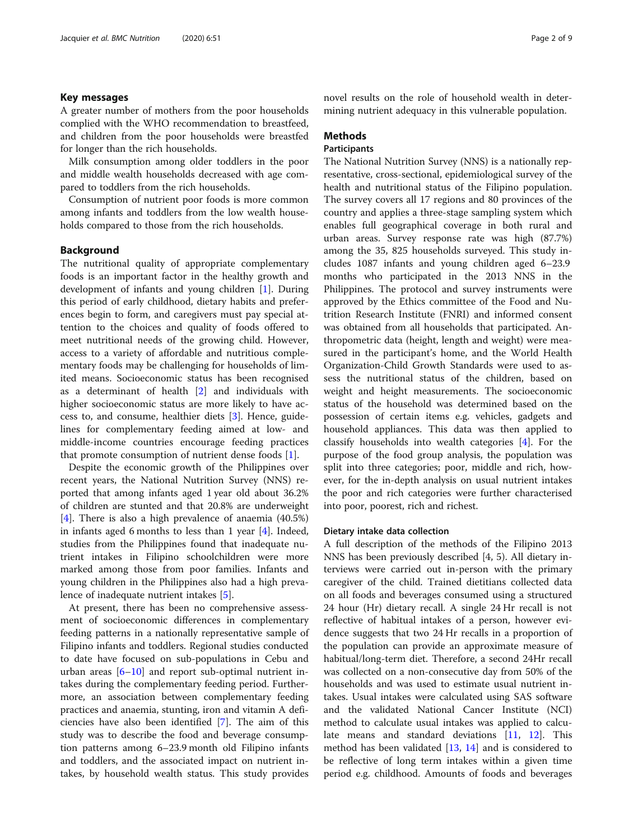## Key messages

A greater number of mothers from the poor households complied with the WHO recommendation to breastfeed, and children from the poor households were breastfed for longer than the rich households.

Milk consumption among older toddlers in the poor and middle wealth households decreased with age compared to toddlers from the rich households.

Consumption of nutrient poor foods is more common among infants and toddlers from the low wealth households compared to those from the rich households.

## Background

The nutritional quality of appropriate complementary foods is an important factor in the healthy growth and development of infants and young children [\[1](#page-8-0)]. During this period of early childhood, dietary habits and preferences begin to form, and caregivers must pay special attention to the choices and quality of foods offered to meet nutritional needs of the growing child. However, access to a variety of affordable and nutritious complementary foods may be challenging for households of limited means. Socioeconomic status has been recognised as a determinant of health [[2\]](#page-8-0) and individuals with higher socioeconomic status are more likely to have access to, and consume, healthier diets [\[3](#page-8-0)]. Hence, guidelines for complementary feeding aimed at low- and middle-income countries encourage feeding practices that promote consumption of nutrient dense foods  $[1]$  $[1]$ .

Despite the economic growth of the Philippines over recent years, the National Nutrition Survey (NNS) reported that among infants aged 1 year old about 36.2% of children are stunted and that 20.8% are underweight [[4\]](#page-8-0). There is also a high prevalence of anaemia (40.5%) in infants aged 6 months to less than 1 year  $[4]$  $[4]$ . Indeed, studies from the Philippines found that inadequate nutrient intakes in Filipino schoolchildren were more marked among those from poor families. Infants and young children in the Philippines also had a high prevalence of inadequate nutrient intakes [[5\]](#page-8-0).

At present, there has been no comprehensive assessment of socioeconomic differences in complementary feeding patterns in a nationally representative sample of Filipino infants and toddlers. Regional studies conducted to date have focused on sub-populations in Cebu and urban areas  $[6-10]$  $[6-10]$  $[6-10]$  $[6-10]$  $[6-10]$  and report sub-optimal nutrient intakes during the complementary feeding period. Furthermore, an association between complementary feeding practices and anaemia, stunting, iron and vitamin A deficiencies have also been identified [\[7](#page-8-0)]. The aim of this study was to describe the food and beverage consumption patterns among 6–23.9 month old Filipino infants and toddlers, and the associated impact on nutrient intakes, by household wealth status. This study provides

novel results on the role of household wealth in determining nutrient adequacy in this vulnerable population.

## Methods

## **Participants**

The National Nutrition Survey (NNS) is a nationally representative, cross-sectional, epidemiological survey of the health and nutritional status of the Filipino population. The survey covers all 17 regions and 80 provinces of the country and applies a three-stage sampling system which enables full geographical coverage in both rural and urban areas. Survey response rate was high (87.7%) among the 35, 825 households surveyed. This study includes 1087 infants and young children aged 6–23.9 months who participated in the 2013 NNS in the Philippines. The protocol and survey instruments were approved by the Ethics committee of the Food and Nutrition Research Institute (FNRI) and informed consent was obtained from all households that participated. Anthropometric data (height, length and weight) were measured in the participant's home, and the World Health Organization-Child Growth Standards were used to assess the nutritional status of the children, based on weight and height measurements. The socioeconomic status of the household was determined based on the possession of certain items e.g. vehicles, gadgets and household appliances. This data was then applied to classify households into wealth categories [\[4](#page-8-0)]. For the purpose of the food group analysis, the population was split into three categories; poor, middle and rich, however, for the in-depth analysis on usual nutrient intakes the poor and rich categories were further characterised into poor, poorest, rich and richest.

## Dietary intake data collection

A full description of the methods of the Filipino 2013 NNS has been previously described [4, 5). All dietary interviews were carried out in-person with the primary caregiver of the child. Trained dietitians collected data on all foods and beverages consumed using a structured 24 hour (Hr) dietary recall. A single 24 Hr recall is not reflective of habitual intakes of a person, however evidence suggests that two 24 Hr recalls in a proportion of the population can provide an approximate measure of habitual/long-term diet. Therefore, a second 24Hr recall was collected on a non-consecutive day from 50% of the households and was used to estimate usual nutrient intakes. Usual intakes were calculated using SAS software and the validated National Cancer Institute (NCI) method to calculate usual intakes was applied to calculate means and standard deviations [\[11,](#page-8-0) [12](#page-8-0)]. This method has been validated [\[13](#page-8-0), [14\]](#page-8-0) and is considered to be reflective of long term intakes within a given time period e.g. childhood. Amounts of foods and beverages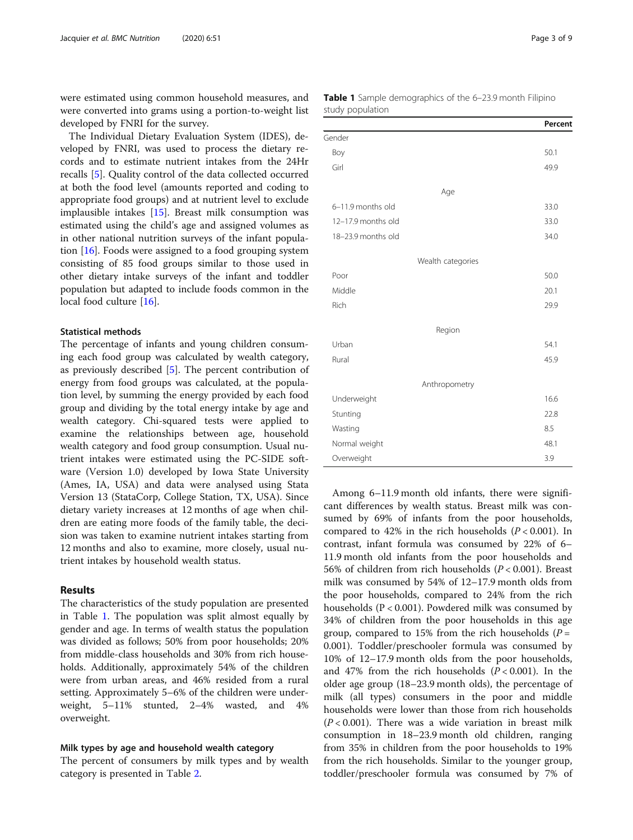were estimated using common household measures, and were converted into grams using a portion-to-weight list developed by FNRI for the survey.

The Individual Dietary Evaluation System (IDES), developed by FNRI, was used to process the dietary records and to estimate nutrient intakes from the 24Hr recalls [[5\]](#page-8-0). Quality control of the data collected occurred at both the food level (amounts reported and coding to appropriate food groups) and at nutrient level to exclude implausible intakes [[15](#page-8-0)]. Breast milk consumption was estimated using the child's age and assigned volumes as in other national nutrition surveys of the infant population [\[16\]](#page-8-0). Foods were assigned to a food grouping system consisting of 85 food groups similar to those used in other dietary intake surveys of the infant and toddler population but adapted to include foods common in the local food culture [[16\]](#page-8-0).

## Statistical methods

The percentage of infants and young children consuming each food group was calculated by wealth category, as previously described [\[5](#page-8-0)]. The percent contribution of energy from food groups was calculated, at the population level, by summing the energy provided by each food group and dividing by the total energy intake by age and wealth category. Chi-squared tests were applied to examine the relationships between age, household wealth category and food group consumption. Usual nutrient intakes were estimated using the PC-SIDE software (Version 1.0) developed by Iowa State University (Ames, IA, USA) and data were analysed using Stata Version 13 (StataCorp, College Station, TX, USA). Since dietary variety increases at 12 months of age when children are eating more foods of the family table, the decision was taken to examine nutrient intakes starting from 12 months and also to examine, more closely, usual nutrient intakes by household wealth status.

## Results

The characteristics of the study population are presented in Table 1. The population was split almost equally by gender and age. In terms of wealth status the population was divided as follows; 50% from poor households; 20% from middle-class households and 30% from rich households. Additionally, approximately 54% of the children were from urban areas, and 46% resided from a rural setting. Approximately 5–6% of the children were underweight, 5–11% stunted, 2–4% wasted, and 4% overweight.

## Milk types by age and household wealth category

The percent of consumers by milk types and by wealth category is presented in Table [2.](#page-3-0)

|  |                  | <b>Table 1</b> Sample demographics of the 6-23.9 month Filipinc |  |  |  |
|--|------------------|-----------------------------------------------------------------|--|--|--|
|  | study population |                                                                 |  |  |  |

|                    | Percent |
|--------------------|---------|
| Gender             |         |
| Boy                | 50.1    |
| Girl               | 49.9    |
| Age                |         |
| 6-11.9 months old  | 33.0    |
| 12-17.9 months old | 33.0    |
| 18-23.9 months old | 34.0    |
|                    |         |
| Wealth categories  |         |
| Poor               | 50.0    |
| Middle             | 20.1    |
| Rich               | 29.9    |
| Region             |         |
| Urban              | 54.1    |
| Rural              | 45.9    |
| Anthropometry      |         |
| Underweight        | 16.6    |
| Stunting           | 22.8    |
|                    | 8.5     |
| Wasting            |         |
| Normal weight      | 48.1    |
| Overweight         | 3.9     |

Among 6–11.9 month old infants, there were significant differences by wealth status. Breast milk was consumed by 69% of infants from the poor households, compared to 42% in the rich households  $(P < 0.001)$ . In contrast, infant formula was consumed by 22% of 6– 11.9 month old infants from the poor households and 56% of children from rich households  $(P < 0.001)$ . Breast milk was consumed by 54% of 12–17.9 month olds from the poor households, compared to 24% from the rich households (P < 0.001). Powdered milk was consumed by 34% of children from the poor households in this age group, compared to 15% from the rich households ( $P =$ 0.001). Toddler/preschooler formula was consumed by 10% of 12–17.9 month olds from the poor households, and 47% from the rich households  $(P < 0.001)$ . In the older age group (18–23.9 month olds), the percentage of milk (all types) consumers in the poor and middle households were lower than those from rich households  $(P < 0.001)$ . There was a wide variation in breast milk consumption in 18–23.9 month old children, ranging from 35% in children from the poor households to 19% from the rich households. Similar to the younger group, toddler/preschooler formula was consumed by 7% of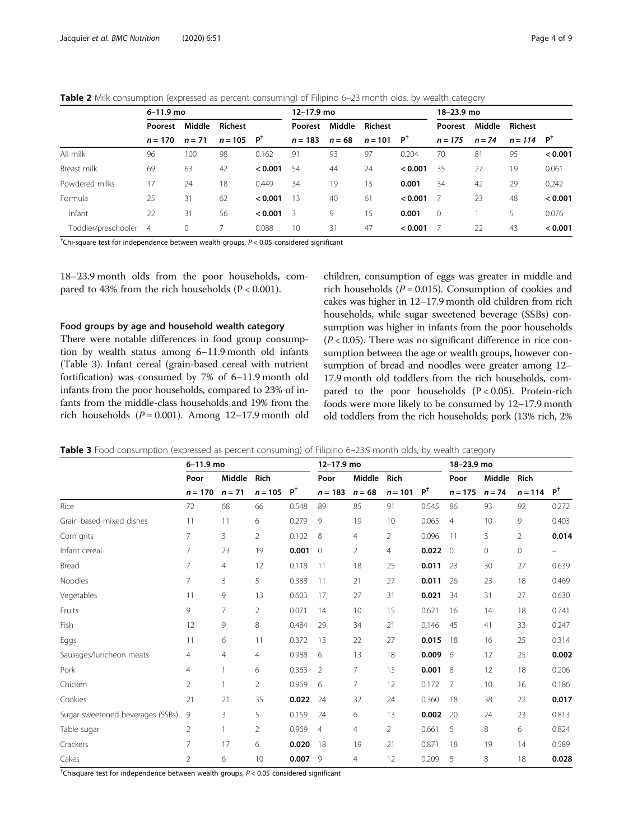<span id="page-3-0"></span>Table 2 Milk consumption (expressed as percent consuming) of Filipino 6-23 month olds, by wealth category

|                     | $6 - 11.9$ mo |          |                   | 12-17.9 mo |                |          |                | 18-23.9 mo |             |          |                          |         |
|---------------------|---------------|----------|-------------------|------------|----------------|----------|----------------|------------|-------------|----------|--------------------------|---------|
|                     | Poorest       | Middle   | <b>Richest</b>    |            | <b>Poorest</b> | Middle   | <b>Richest</b> |            | Poorest     | Middle   | <b>Richest</b>           |         |
|                     | $n = 170$     | $n = 71$ | $n = 105$ $P^{T}$ |            | $n = 183$      | $n = 68$ | $n = 101$ $PT$ |            | $n = 175$   | $n = 74$ | $n = 114$ P <sup>t</sup> |         |
| All milk            | 96            | 100      | 98                | 0.162      | 91             | 93       | 97             | 0.204      | 70          | 81       | 95                       | < 0.001 |
| Breast milk         | 69            | 63       | 42                | < 0.001    | 54             | 44       | 24             | < 0.001    | 35          | 27       | 19                       | 0.061   |
| Powdered milks      | 17            | 24       | 18                | 0.449      | 34             | 19       | 15             | 0.001      | 34          | 42       | 29                       | 0.242   |
| Formula             | 25            | 31       | 62                | < 0.001    | 13             | 40       | 61             | < 0.001    |             | 23       | 48                       | < 0.001 |
| Infant              | 22            | 31       | 56                | < 0.001    | 3              | 9        | 15             | 0.001      | $\mathbf 0$ |          | 5                        | 0.076   |
| Toddler/preschooler | 4             | $\circ$  |                   | 0.088      | 10             | 31       | 47             | < 0.001    |             | 22       | 43                       | < 0.001 |

† Chi-square test for independence between wealth groups, P < 0.05 considered significant

18–23.9 month olds from the poor households, compared to 43% from the rich households (P < 0.001).

### Food groups by age and household wealth category

There were notable differences in food group consumption by wealth status among 6–11.9 month old infants (Table 3). Infant cereal (grain-based cereal with nutrient fortification) was consumed by 7% of 6–11.9 month old infants from the poor households, compared to 23% of infants from the middle-class households and 19% from the rich households ( $P = 0.001$ ). Among 12–17.9 month old

children, consumption of eggs was greater in middle and rich households ( $P = 0.015$ ). Consumption of cookies and cakes was higher in 12–17.9 month old children from rich households, while sugar sweetened beverage (SSBs) consumption was higher in infants from the poor households  $(P < 0.05)$ . There was no significant difference in rice consumption between the age or wealth groups, however consumption of bread and noodles were greater among 12– 17.9 month old toddlers from the rich households, compared to the poor households  $(P < 0.05)$ . Protein-rich foods were more likely to be consumed by 12–17.9 month old toddlers from the rich households; pork (13% rich, 2%

Table 3 Food consumption (expressed as percent consuming) of Filipino 6-23.9 month olds, by wealth category

|                                  | 6-11.9 mo      |                |                | 12-17.9 mo    |                |                |                | 18-23.9 mo    |                |             |                |               |
|----------------------------------|----------------|----------------|----------------|---------------|----------------|----------------|----------------|---------------|----------------|-------------|----------------|---------------|
|                                  | Poor           | Middle         | Rich           |               | Poor           | Middle         | Rich           |               | Poor           | Middle      | Rich           |               |
|                                  | $n = 170$      | $n = 71$       | $n = 105$      | $P^{\dagger}$ | $n = 183$      | $n = 68$       | $n = 101$      | $P^{\dagger}$ | $n = 175$      | $n = 74$    | $n = 114$      | $P^{\dagger}$ |
| Rice                             | 72             | 68             | 66             | 0.548         | 89             | 85             | 91             | 0.545         | 86             | 93          | 92             | 0.272         |
| Grain-based mixed dishes         | 11             | 11             | 6              | 0.279         | 9              | 19             | 10             | 0.065         | $\overline{4}$ | 10          | 9              | 0.403         |
| Corn grits                       | 7              | 3              | $\overline{2}$ | 0.102         | 8              | $\overline{4}$ | $\overline{2}$ | 0.096         | 11             | 3           | $\overline{2}$ | 0.014         |
| Infant cereal                    | 7              | 23             | 19             | 0.001         | $\overline{0}$ | $\overline{2}$ | $\overline{4}$ | 0.022         | $\overline{0}$ | $\mathbf 0$ | $\mathbf{0}$   | -             |
| Bread                            | 7              | 4              | 12             | 0.118         | 11             | 18             | 25             | 0.011         | 23             | 30          | 27             | 0.639         |
| Noodles                          | 7              | 3              | 5              | 0.388         | 11             | 21             | 27             | 0.011         | 26             | 23          | 18             | 0.469         |
| Vegetables                       | 11             | 9              | 13             | 0.603         | 17             | 27             | 31             | 0.021         | 34             | 31          | 27             | 0.630         |
| Fruits                           | 9              | 7              | $\overline{2}$ | 0.071         | 14             | 10             | 15             | 0.621         | 16             | 14          | 18             | 0.741         |
| Fish                             | 12             | 9              | 8              | 0.484         | 29             | 34             | 21             | 0.146         | 45             | 41          | 33             | 0.247         |
| Eggs                             | 11             | 6              | 11             | 0.372         | 13             | 22             | 27             | 0.015         | 18             | 16          | 25             | 0.314         |
| Sausages/luncheon meats          | $\overline{4}$ | $\overline{4}$ | $\overline{4}$ | 0.988         | 6              | 13             | 18             | 0.009         | 6              | 12          | 25             | 0.002         |
| Pork                             | 4              | 1              | 6              | 0.363         | $\overline{2}$ | $\overline{7}$ | 13             | 0.001         | 8              | 12          | 18             | 0.206         |
| Chicken                          | $\overline{2}$ | 1              | $\overline{2}$ | 0.969         | 6              | $\overline{7}$ | 12             | 0.172         | 7              | 10          | 16             | 0.186         |
| Cookies                          | 21             | 21             | 35             | 0.022         | 24             | 32             | 24             | 0.360         | 18             | 38          | 22             | 0.017         |
| Sugar sweetened beverages (SSBs) | 9              | 3              | 5              | 0.159         | 24             | 6              | 13             | 0.002         | 20             | 24          | 23             | 0.813         |
| Table sugar                      | 2              | 1              | $\overline{2}$ | 0.969         | $\overline{4}$ | $\overline{4}$ | $\overline{2}$ | 0.661         | 5              | 8           | 6              | 0.824         |
| Crackers                         |                | 17             | 6              | 0.020         | 18             | 19             | 21             | 0.871         | 18             | 19          | 14             | 0.589         |
| Cakes                            | $\overline{2}$ | 6              | 10             | 0.007         | - 9            | $\overline{4}$ | 12             | 0.209         | 5              | 8           | 18             | 0.028         |

† Chisquare test for independence between wealth groups, P < 0.05 considered significant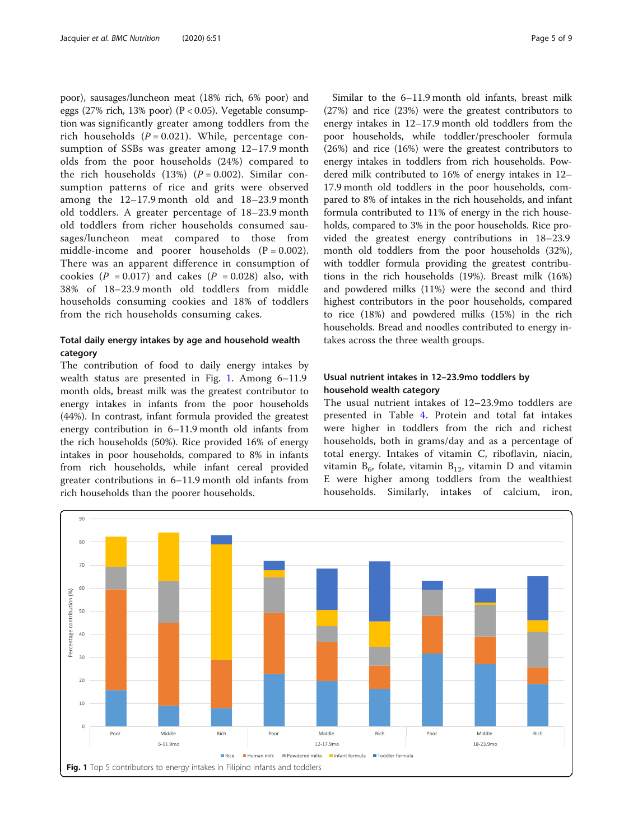poor), sausages/luncheon meat (18% rich, 6% poor) and eggs (27% rich, 13% poor) ( $P < 0.05$ ). Vegetable consumption was significantly greater among toddlers from the rich households  $(P = 0.021)$ . While, percentage consumption of SSBs was greater among 12–17.9 month olds from the poor households (24%) compared to the rich households  $(13%)$   $(P = 0.002)$ . Similar consumption patterns of rice and grits were observed among the 12–17.9 month old and 18–23.9 month old toddlers. A greater percentage of 18–23.9 month old toddlers from richer households consumed sausages/luncheon meat compared to those from middle-income and poorer households  $(P = 0.002)$ . There was an apparent difference in consumption of cookies ( $P = 0.017$ ) and cakes ( $P = 0.028$ ) also, with 38% of 18–23.9 month old toddlers from middle households consuming cookies and 18% of toddlers from the rich households consuming cakes.

## Total daily energy intakes by age and household wealth category

The contribution of food to daily energy intakes by wealth status are presented in Fig. 1. Among 6–11.9 month olds, breast milk was the greatest contributor to energy intakes in infants from the poor households (44%). In contrast, infant formula provided the greatest energy contribution in 6–11.9 month old infants from the rich households (50%). Rice provided 16% of energy intakes in poor households, compared to 8% in infants from rich households, while infant cereal provided greater contributions in 6–11.9 month old infants from rich households than the poorer households.

Similar to the 6–11.9 month old infants, breast milk (27%) and rice (23%) were the greatest contributors to energy intakes in 12–17.9 month old toddlers from the poor households, while toddler/preschooler formula (26%) and rice (16%) were the greatest contributors to energy intakes in toddlers from rich households. Powdered milk contributed to 16% of energy intakes in 12– 17.9 month old toddlers in the poor households, compared to 8% of intakes in the rich households, and infant formula contributed to 11% of energy in the rich households, compared to 3% in the poor households. Rice provided the greatest energy contributions in 18–23.9 month old toddlers from the poor households (32%), with toddler formula providing the greatest contributions in the rich households (19%). Breast milk (16%) and powdered milks (11%) were the second and third highest contributors in the poor households, compared to rice (18%) and powdered milks (15%) in the rich households. Bread and noodles contributed to energy intakes across the three wealth groups.

## Usual nutrient intakes in 12–23.9mo toddlers by household wealth category

The usual nutrient intakes of 12–23.9mo toddlers are presented in Table [4.](#page-5-0) Protein and total fat intakes were higher in toddlers from the rich and richest households, both in grams/day and as a percentage of total energy. Intakes of vitamin C, riboflavin, niacin, vitamin  $B_6$ , folate, vitamin  $B_{12}$ , vitamin D and vitamin E were higher among toddlers from the wealthiest households. Similarly, intakes of calcium, iron,

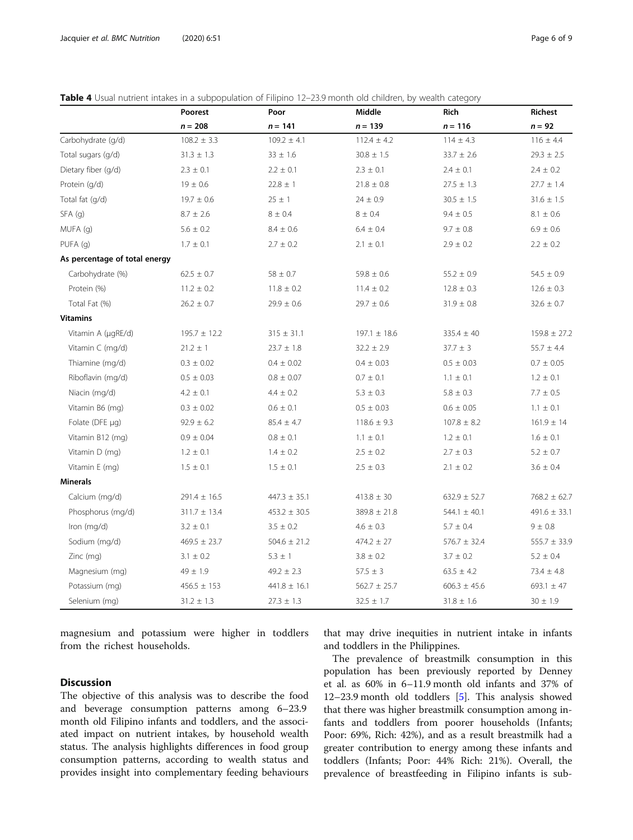<span id="page-5-0"></span>

| Table 4 Usual nutrient intakes in a subpopulation of Filipino 12-23.9 month old children, by wealth category |  |  |
|--------------------------------------------------------------------------------------------------------------|--|--|
|--------------------------------------------------------------------------------------------------------------|--|--|

|                               | Poorest          | Poor             | Middle           | Rich             | <b>Richest</b>   |
|-------------------------------|------------------|------------------|------------------|------------------|------------------|
|                               | $n = 208$        | $n = 141$        | $n = 139$        | $n = 116$        | $n = 92$         |
| Carbohydrate (q/d)            | $108.2 \pm 3.3$  | $109.2 \pm 4.1$  | $112.4 \pm 4.2$  | $114 \pm 4.3$    | $116 \pm 4.4$    |
| Total sugars (g/d)            | $31.3 \pm 1.3$   | $33 \pm 1.6$     | $30.8 \pm 1.5$   | $33.7 \pm 2.6$   | $29.3 \pm 2.5$   |
| Dietary fiber (g/d)           | $2.3 \pm 0.1$    | $2.2 \pm 0.1$    | $2.3 \pm 0.1$    | $2.4 \pm 0.1$    | $2.4 \pm 0.2$    |
| Protein (q/d)                 | $19 \pm 0.6$     | $22.8 \pm 1$     | $21.8 \pm 0.8$   | $27.5 \pm 1.3$   | $27.7 \pm 1.4$   |
| Total fat (q/d)               | $19.7 \pm 0.6$   | $25 \pm 1$       | $24 \pm 0.9$     | $30.5 \pm 1.5$   | $31.6 \pm 1.5$   |
| SFA (g)                       | $8.7 \pm 2.6$    | $8 \pm 0.4$      | $8 \pm 0.4$      | $9.4 \pm 0.5$    | $8.1 \pm 0.6$    |
| MUFA (q)                      | $5.6 \pm 0.2$    | $8.4 \pm 0.6$    | $6.4 \pm 0.4$    | $9.7 \pm 0.8$    | $6.9\,\pm\,0.6$  |
| PUFA (q)                      | $1.7 \pm 0.1$    | $2.7 \pm 0.2$    | $2.1\,\pm\,0.1$  | $2.9\,\pm\,0.2$  | $2.2 \pm 0.2$    |
| As percentage of total energy |                  |                  |                  |                  |                  |
| Carbohydrate (%)              | $62.5 \pm 0.7$   | $58 \pm 0.7$     | $59.8\,\pm\,0.6$ | $55.2 \pm 0.9$   | $54.5 \pm 0.9$   |
| Protein (%)                   | $11.2 \pm 0.2$   | $11.8 \pm 0.2$   | $11.4 \pm 0.2$   | $12.8 \pm 0.3$   | $12.6 \pm 0.3$   |
| Total Fat (%)                 | $26.2 \pm 0.7$   | $29.9 \pm 0.6$   | $29.7 \pm 0.6$   | $31.9 \pm 0.8$   | $32.6 \pm 0.7$   |
| <b>Vitamins</b>               |                  |                  |                  |                  |                  |
| Vitamin A (µgRE/d)            | $195.7 \pm 12.2$ | $315 \pm 31.1$   | $197.1 \pm 18.6$ | $335.4 \pm 40$   | $159.8 \pm 27.2$ |
| Vitamin C (mg/d)              | $21.2 \pm 1$     | $23.7 \pm 1.8$   | $32.2 \pm 2.9$   | $37.7 \pm 3$     | $55.7 \pm 4.4$   |
| Thiamine (mg/d)               | $0.3 \pm 0.02$   | $0.4 \pm 0.02$   | $0.4 \pm 0.03$   | $0.5 \pm 0.03$   | $0.7 \pm 0.05$   |
| Riboflavin (mg/d)             | $0.5 \pm 0.03$   | $0.8 \pm 0.07$   | $0.7 \pm 0.1$    | $1.1 \pm 0.1$    | $1.2 \pm 0.1$    |
| Niacin (mg/d)                 | $4.2 \pm 0.1$    | $4.4 \pm 0.2$    | $5.3 \pm 0.3$    | $5.8 \pm 0.3$    | $7.7 \pm 0.5$    |
| Vitamin B6 (mg)               | $0.3 \pm 0.02$   | $0.6 \pm 0.1$    | $0.5 \pm 0.03$   | $0.6 \pm 0.05$   | $1.1 \pm 0.1$    |
| Folate ( $DFE \mu q$ )        | $92.9 \pm 6.2$   | $85.4 \pm 4.7$   | $118.6 \pm 9.3$  | $107.8 \pm 8.2$  | $161.9 \pm 14$   |
| Vitamin B12 (mg)              | $0.9 \pm 0.04$   | $0.8 \pm 0.1$    | $1.1 \pm 0.1$    | $1.2 \pm 0.1$    | $1.6 \pm 0.1$    |
| Vitamin D (mg)                | $1.2 \pm 0.1$    | $1.4 \pm 0.2$    | $2.5 \pm 0.2$    | $2.7 \pm 0.3$    | $5.2 \pm 0.7$    |
| Vitamin E (mg)                | $1.5 \pm 0.1$    | $1.5 \pm 0.1$    | $2.5 \pm 0.3$    | $2.1 \pm 0.2$    | $3.6 \pm 0.4$    |
| <b>Minerals</b>               |                  |                  |                  |                  |                  |
| Calcium (mg/d)                | $291.4 \pm 16.5$ | $447.3 \pm 35.1$ | $413.8 \pm 30$   | $632.9 \pm 52.7$ | $768.2 \pm 62.7$ |
| Phosphorus (mg/d)             | $311.7 \pm 13.4$ | $453.2 \pm 30.5$ | $389.8 \pm 21.8$ | $544.1 \pm 40.1$ | $491.6 \pm 33.1$ |
| Iron $(mq/d)$                 | $3.2 \pm 0.1$    | $3.5 \pm 0.2$    | $4.6 \pm 0.3$    | $5.7 \pm 0.4$    | $9 \pm 0.8$      |
| Sodium (mg/d)                 | $469.5 \pm 23.7$ | $504.6 \pm 21.2$ | $474.2 \pm 27$   | $576.7 \pm 32.4$ | $555.7 \pm 33.9$ |
| Zinc (mg)                     | $3.1 \pm 0.2$    | $5.3 \pm 1$      | $3.8 \pm 0.2$    | $3.7 \pm 0.2$    | $5.2 \pm 0.4$    |
| Magnesium (mg)                | $49 \pm 1.9$     | $49.2 \pm 2.3$   | $57.5 \pm 3$     | $63.5 \pm 4.2$   | $73.4 \pm 4.8$   |
| Potassium (mg)                | $456.5 \pm 153$  | $441.8 \pm 16.1$ | $562.7 \pm 25.7$ | $606.3 \pm 45.6$ | $693.1 \pm 47$   |
| Selenium (mg)                 | $31.2 \pm 1.3$   | $27.3 \pm 1.3$   | $32.5 \pm 1.7$   | $31.8 \pm 1.6$   | $30 \pm 1.9$     |

magnesium and potassium were higher in toddlers from the richest households.

## Discussion

The objective of this analysis was to describe the food and beverage consumption patterns among 6–23.9 month old Filipino infants and toddlers, and the associated impact on nutrient intakes, by household wealth status. The analysis highlights differences in food group consumption patterns, according to wealth status and provides insight into complementary feeding behaviours

that may drive inequities in nutrient intake in infants and toddlers in the Philippines.

The prevalence of breastmilk consumption in this population has been previously reported by Denney et al. as 60% in 6–11.9 month old infants and 37% of 12–23.9 month old toddlers [[5\]](#page-8-0). This analysis showed that there was higher breastmilk consumption among infants and toddlers from poorer households (Infants; Poor: 69%, Rich: 42%), and as a result breastmilk had a greater contribution to energy among these infants and toddlers (Infants; Poor: 44% Rich: 21%). Overall, the prevalence of breastfeeding in Filipino infants is sub-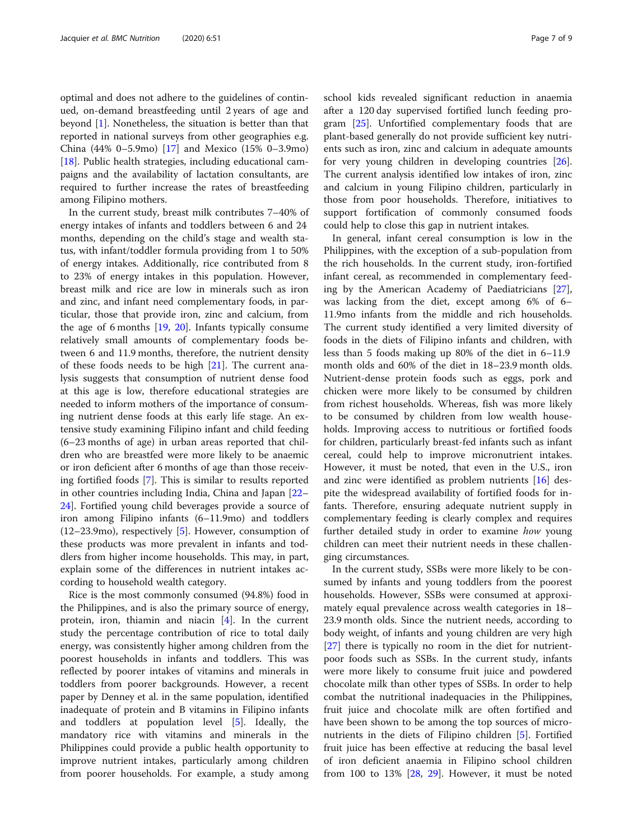optimal and does not adhere to the guidelines of continued, on-demand breastfeeding until 2 years of age and beyond [[1\]](#page-8-0). Nonetheless, the situation is better than that reported in national surveys from other geographies e.g. China (44% 0–5.9mo) [\[17\]](#page-8-0) and Mexico (15% 0–3.9mo) [[18\]](#page-8-0). Public health strategies, including educational campaigns and the availability of lactation consultants, are required to further increase the rates of breastfeeding among Filipino mothers.

In the current study, breast milk contributes 7–40% of energy intakes of infants and toddlers between 6 and 24 months, depending on the child's stage and wealth status, with infant/toddler formula providing from 1 to 50% of energy intakes. Additionally, rice contributed from 8 to 23% of energy intakes in this population. However, breast milk and rice are low in minerals such as iron and zinc, and infant need complementary foods, in particular, those that provide iron, zinc and calcium, from the age of 6 months [\[19](#page-8-0), [20](#page-8-0)]. Infants typically consume relatively small amounts of complementary foods between 6 and 11.9 months, therefore, the nutrient density of these foods needs to be high [[21\]](#page-8-0). The current analysis suggests that consumption of nutrient dense food at this age is low, therefore educational strategies are needed to inform mothers of the importance of consuming nutrient dense foods at this early life stage. An extensive study examining Filipino infant and child feeding (6–23 months of age) in urban areas reported that children who are breastfed were more likely to be anaemic or iron deficient after 6 months of age than those receiving fortified foods [\[7](#page-8-0)]. This is similar to results reported in other countries including India, China and Japan [[22](#page-8-0)– [24\]](#page-8-0). Fortified young child beverages provide a source of iron among Filipino infants (6–11.9mo) and toddlers (12–23.9mo), respectively [\[5\]](#page-8-0). However, consumption of these products was more prevalent in infants and toddlers from higher income households. This may, in part, explain some of the differences in nutrient intakes according to household wealth category.

Rice is the most commonly consumed (94.8%) food in the Philippines, and is also the primary source of energy, protein, iron, thiamin and niacin [\[4](#page-8-0)]. In the current study the percentage contribution of rice to total daily energy, was consistently higher among children from the poorest households in infants and toddlers. This was reflected by poorer intakes of vitamins and minerals in toddlers from poorer backgrounds. However, a recent paper by Denney et al. in the same population, identified inadequate of protein and B vitamins in Filipino infants and toddlers at population level [\[5](#page-8-0)]. Ideally, the mandatory rice with vitamins and minerals in the Philippines could provide a public health opportunity to improve nutrient intakes, particularly among children from poorer households. For example, a study among school kids revealed significant reduction in anaemia after a 120 day supervised fortified lunch feeding program [[25\]](#page-8-0). Unfortified complementary foods that are plant-based generally do not provide sufficient key nutrients such as iron, zinc and calcium in adequate amounts for very young children in developing countries [\[26](#page-8-0)]. The current analysis identified low intakes of iron, zinc and calcium in young Filipino children, particularly in those from poor households. Therefore, initiatives to support fortification of commonly consumed foods could help to close this gap in nutrient intakes.

In general, infant cereal consumption is low in the Philippines, with the exception of a sub-population from the rich households. In the current study, iron-fortified infant cereal, as recommended in complementary feeding by the American Academy of Paediatricians [\[27](#page-8-0)], was lacking from the diet, except among 6% of 6– 11.9mo infants from the middle and rich households. The current study identified a very limited diversity of foods in the diets of Filipino infants and children, with less than 5 foods making up 80% of the diet in 6–11.9 month olds and 60% of the diet in 18–23.9 month olds. Nutrient-dense protein foods such as eggs, pork and chicken were more likely to be consumed by children from richest households. Whereas, fish was more likely to be consumed by children from low wealth households. Improving access to nutritious or fortified foods for children, particularly breast-fed infants such as infant cereal, could help to improve micronutrient intakes. However, it must be noted, that even in the U.S., iron and zinc were identified as problem nutrients [[16](#page-8-0)] despite the widespread availability of fortified foods for infants. Therefore, ensuring adequate nutrient supply in complementary feeding is clearly complex and requires further detailed study in order to examine how young children can meet their nutrient needs in these challenging circumstances.

In the current study, SSBs were more likely to be consumed by infants and young toddlers from the poorest households. However, SSBs were consumed at approximately equal prevalence across wealth categories in 18– 23.9 month olds. Since the nutrient needs, according to body weight, of infants and young children are very high [[27\]](#page-8-0) there is typically no room in the diet for nutrientpoor foods such as SSBs. In the current study, infants were more likely to consume fruit juice and powdered chocolate milk than other types of SSBs. In order to help combat the nutritional inadequacies in the Philippines, fruit juice and chocolate milk are often fortified and have been shown to be among the top sources of micronutrients in the diets of Filipino children [\[5](#page-8-0)]. Fortified fruit juice has been effective at reducing the basal level of iron deficient anaemia in Filipino school children from 100 to 13%  $[28, 29]$  $[28, 29]$  $[28, 29]$  $[28, 29]$  $[28, 29]$ . However, it must be noted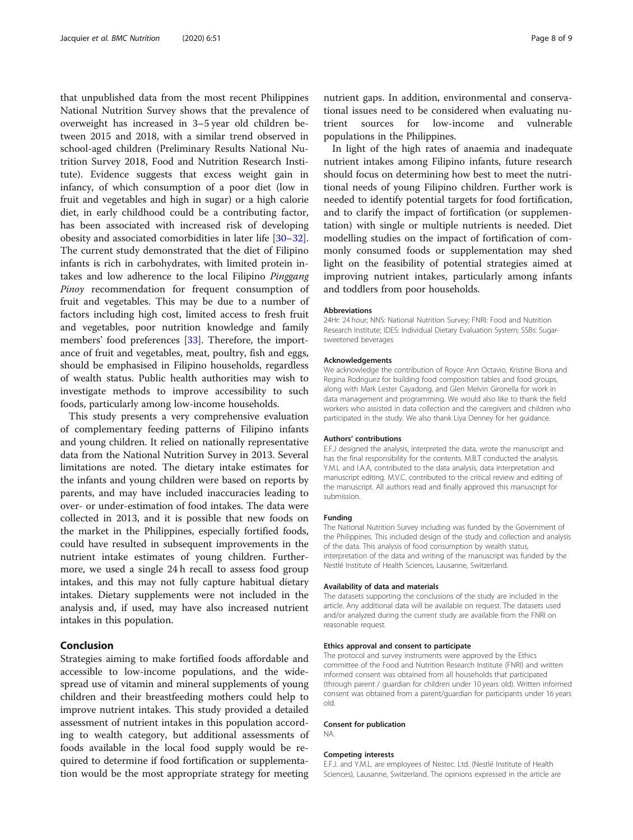that unpublished data from the most recent Philippines National Nutrition Survey shows that the prevalence of overweight has increased in 3–5 year old children between 2015 and 2018, with a similar trend observed in school-aged children (Preliminary Results National Nutrition Survey 2018, Food and Nutrition Research Institute). Evidence suggests that excess weight gain in infancy, of which consumption of a poor diet (low in fruit and vegetables and high in sugar) or a high calorie diet, in early childhood could be a contributing factor, has been associated with increased risk of developing obesity and associated comorbidities in later life [[30](#page-8-0)–[32](#page-8-0)]. The current study demonstrated that the diet of Filipino infants is rich in carbohydrates, with limited protein intakes and low adherence to the local Filipino Pinggang Pinoy recommendation for frequent consumption of fruit and vegetables. This may be due to a number of factors including high cost, limited access to fresh fruit and vegetables, poor nutrition knowledge and family members' food preferences [\[33](#page-8-0)]. Therefore, the importance of fruit and vegetables, meat, poultry, fish and eggs, should be emphasised in Filipino households, regardless of wealth status. Public health authorities may wish to investigate methods to improve accessibility to such foods, particularly among low-income households.

This study presents a very comprehensive evaluation of complementary feeding patterns of Filipino infants and young children. It relied on nationally representative data from the National Nutrition Survey in 2013. Several limitations are noted. The dietary intake estimates for the infants and young children were based on reports by parents, and may have included inaccuracies leading to over- or under-estimation of food intakes. The data were collected in 2013, and it is possible that new foods on the market in the Philippines, especially fortified foods, could have resulted in subsequent improvements in the nutrient intake estimates of young children. Furthermore, we used a single 24 h recall to assess food group intakes, and this may not fully capture habitual dietary intakes. Dietary supplements were not included in the analysis and, if used, may have also increased nutrient intakes in this population.

## Conclusion

Strategies aiming to make fortified foods affordable and accessible to low-income populations, and the widespread use of vitamin and mineral supplements of young children and their breastfeeding mothers could help to improve nutrient intakes. This study provided a detailed assessment of nutrient intakes in this population according to wealth category, but additional assessments of foods available in the local food supply would be required to determine if food fortification or supplementation would be the most appropriate strategy for meeting

nutrient gaps. In addition, environmental and conservational issues need to be considered when evaluating nutrient sources for low-income and vulnerable populations in the Philippines.

In light of the high rates of anaemia and inadequate nutrient intakes among Filipino infants, future research should focus on determining how best to meet the nutritional needs of young Filipino children. Further work is needed to identify potential targets for food fortification, and to clarify the impact of fortification (or supplementation) with single or multiple nutrients is needed. Diet modelling studies on the impact of fortification of commonly consumed foods or supplementation may shed light on the feasibility of potential strategies aimed at improving nutrient intakes, particularly among infants and toddlers from poor households.

#### Abbreviations

24Hr: 24 hour; NNS: National Nutrition Survey; FNRI: Food and Nutrition Research Institute; IDES: Individual Dietary Evaluation System; SSBs: Sugarsweetened beverages

#### Acknowledgements

We acknowledge the contribution of Royce Ann Octavio, Kristine Biona and Regina Rodriguez for building food composition tables and food groups, along with Mark Lester Cayadong, and Glen Melvin Gironella for work in data management and programming. We would also like to thank the field workers who assisted in data collection and the caregivers and children who participated in the study. We also thank Liya Denney for her guidance.

#### Authors' contributions

E.F.J designed the analysis, interpreted the data, wrote the manuscript and has the final responsibility for the contents. M.B.T conducted the analysis. Y.M.L and I.A.A, contributed to the data analysis, data interpretation and manuscript editing. M.V.C. contributed to the critical review and editing of the manuscript. All authors read and finally approved this manuscript for submission.

#### Funding

The National Nutrition Survey including was funded by the Government of the Philippines. This included design of the study and collection and analysis of the data. This analysis of food consumption by wealth status, interpretation of the data and writing of the manuscript was funded by the Nestlé Institute of Health Sciences, Lausanne, Switzerland.

#### Availability of data and materials

The datasets supporting the conclusions of the study are included in the article. Any additional data will be available on request. The datasets used and/or analyzed during the current study are available from the FNRI on reasonable request.

#### Ethics approval and consent to participate

The protocol and survey instruments were approved by the Ethics committee of the Food and Nutrition Research Institute (FNRI) and written informed consent was obtained from all households that participated (through parent / guardian for children under 10 years old). Written informed consent was obtained from a parent/guardian for participants under 16 years old.

#### Consent for publication

NA.

#### Competing interests

E.F.J. and Y.M.L. are employees of Nestec. Ltd. (Nestlé Institute of Health Sciences), Lausanne, Switzerland. The opinions expressed in the article are